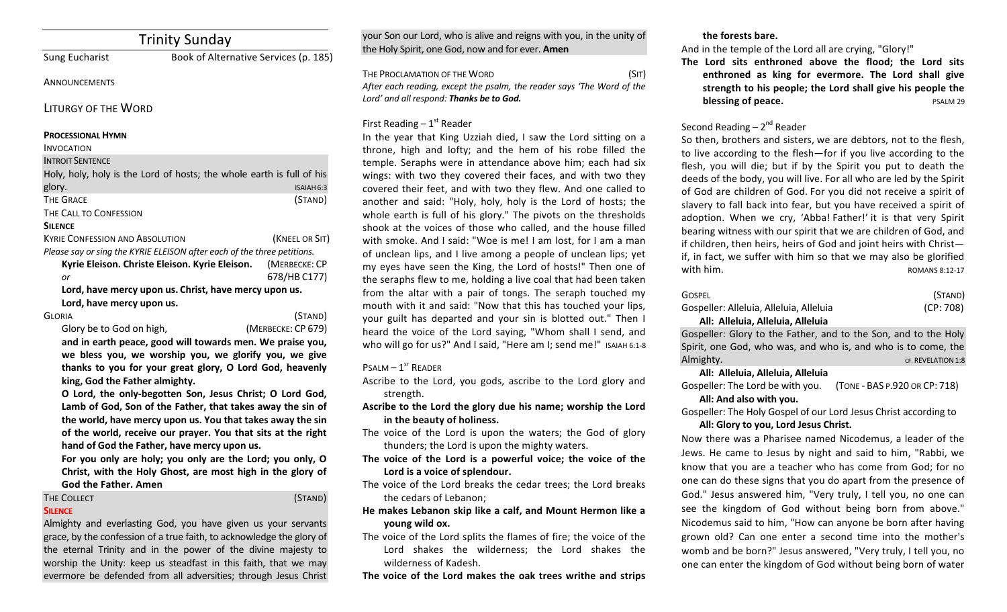# Trinity Sunday

Sung Eucharist Book of Alternative Services (p. 185)

#### **ANNOUNCEMENTS**

LITURGY OF THE WORD

#### **PROCESSIONAL HYMN**

#### INVOCATION

**INTROIT SENTENCE** 

| Holy, holy, holy is the Lord of hosts; the whole earth is full of his   |                |
|-------------------------------------------------------------------------|----------------|
| glory.                                                                  | ISAIAH 6:3     |
| <b>THE GRACE</b>                                                        | (STAND)        |
| THE CALL TO CONFESSION                                                  |                |
| <b>SILENCE</b>                                                          |                |
| <b>KYRIE CONFESSION AND ABSOLUTION</b>                                  | (KNEEL OR SIT) |
| Please say or sing the KYRIE ELEISON after each of the three petitions. |                |
| Kyrie Eleison. Christe Eleison. Kyrie Eleison.                          | (MERBECKE: CP  |
| or                                                                      | 678/HB C177)   |
| Lord, have mercy upon us. Christ, have mercy upon us.                   |                |
| Lord, have mercy upon us.                                               |                |

GLORIA (STAND)

Glory be to God on high, *COD* (MERBECKE: CP 679)

and in earth peace, good will towards men. We praise you, we bless you, we worship you, we glorify you, we give thanks to you for your great glory, O Lord God, heavenly king, God the Father almighty.

**O** Lord, the only-begotten Son, Jesus Christ; O Lord God, Lamb of God, Son of the Father, that takes away the sin of the world, have mercy upon us. You that takes away the sin of the world, receive our prayer. You that sits at the right hand of God the Father, have mercy upon us.

For you only are holy; you only are the Lord; you only, O **Christ, with the Holy Ghost, are most high in the glory of God the Father. Amen**

#### THE COLLECT (STAND) **SILENCE**

Almighty and everlasting God, you have given us your servants grace, by the confession of a true faith, to acknowledge the glory of the eternal Trinity and in the power of the divine majesty to worship the Unity: keep us steadfast in this faith, that we may evermore be defended from all adversities; through Jesus Christ your Son our Lord, who is alive and reigns with you, in the unity of the Holy Spirit, one God, now and for ever. **Amen** 

THE PROCLAMATION OF THE WORD (SIT) After each reading, except the psalm, the reader says 'The Word of the Lord' and all respond: Thanks be to God.

# First Reading  $-1<sup>st</sup>$  Reader

In the year that King Uzziah died, I saw the Lord sitting on a throne, high and lofty; and the hem of his robe filled the temple. Seraphs were in attendance above him; each had six wings: with two they covered their faces, and with two they covered their feet, and with two they flew. And one called to another and said: "Holy, holy, holy is the Lord of hosts; the whole earth is full of his glory." The pivots on the thresholds shook at the voices of those who called, and the house filled with smoke. And I said: "Woe is me! I am lost, for I am a man of unclean lips, and I live among a people of unclean lips; yet my eyes have seen the King, the Lord of hosts!" Then one of the seraphs flew to me, holding a live coal that had been taken from the altar with a pair of tongs. The seraph touched my mouth with it and said: "Now that this has touched your lips, your guilt has departed and your sin is blotted out." Then I heard the voice of the Lord saying, "Whom shall I send, and who will go for us?" And I said, "Here am I; send me!" ISAIAH 6:1-8

# $P$ SALM  $-1$ <sup>ST</sup> READER

- Ascribe to the Lord, you gods, ascribe to the Lord glory and strength.
- Ascribe to the Lord the glory due his name; worship the Lord in the beauty of holiness.
- The voice of the Lord is upon the waters; the God of glory thunders; the Lord is upon the mighty waters.
- The voice of the Lord is a powerful voice; the voice of the Lord is a voice of splendour.
- The voice of the Lord breaks the cedar trees; the Lord breaks the cedars of Lebanon;
- He makes Lebanon skip like a calf, and Mount Hermon like a **young** wild ox.
- The voice of the Lord splits the flames of fire; the voice of the Lord shakes the wilderness; the Lord shakes the wilderness of Kadesh.

The voice of the Lord makes the oak trees writhe and strips

## the forests bare.

And in the temple of the Lord all are crying, "Glory!"

The Lord sits enthroned above the flood; the Lord sits enthroned as king for evermore. The Lord shall give strength to his people; the Lord shall give his people the **blessing of peace.** PSALM 29

# Second Reading  $- 2<sup>nd</sup>$  Reader

So then, brothers and sisters, we are debtors, not to the flesh, to live according to the flesh—for if you live according to the flesh, you will die; but if by the Spirit you put to death the deeds of the body, you will live. For all who are led by the Spirit of God are children of God. For you did not receive a spirit of slavery to fall back into fear, but you have received a spirit of adoption. When we cry, 'Abba! Father!' it is that very Spirit bearing witness with our spirit that we are children of God, and if children, then heirs, heirs of God and joint heirs with Christif, in fact, we suffer with him so that we may also be glorified with him.  $N = 12.17$ 

| GOSPEL                                  | (STAND)   |
|-----------------------------------------|-----------|
| Gospeller: Alleluia, Alleluia, Alleluia | (CP: 708) |
| Alli Allebria Allebria Allebria         |           |

### **All: Alleluia, Alleluia, Alleluia**

Gospeller: Glory to the Father, and to the Son, and to the Holy Spirit, one God, who was, and who is, and who is to come, the Almighty. CF. REVELATION 1:8

**All: Alleluia, Alleluia, Alleluia**

Gospeller: The Lord be with you. (TONE - BAS P.920 OR CP: 718)

# All: And also with you.

Gospeller: The Holy Gospel of our Lord Jesus Christ according to All: Glory to you, Lord Jesus Christ.

Now there was a Pharisee named Nicodemus, a leader of the Jews. He came to Jesus by night and said to him, "Rabbi, we know that you are a teacher who has come from God; for no one can do these signs that you do apart from the presence of God." Jesus answered him, "Very truly, I tell you, no one can see the kingdom of God without being born from above." Nicodemus said to him, "How can anyone be born after having grown old? Can one enter a second time into the mother's womb and be born?" Jesus answered, "Very truly, I tell you, no one can enter the kingdom of God without being born of water